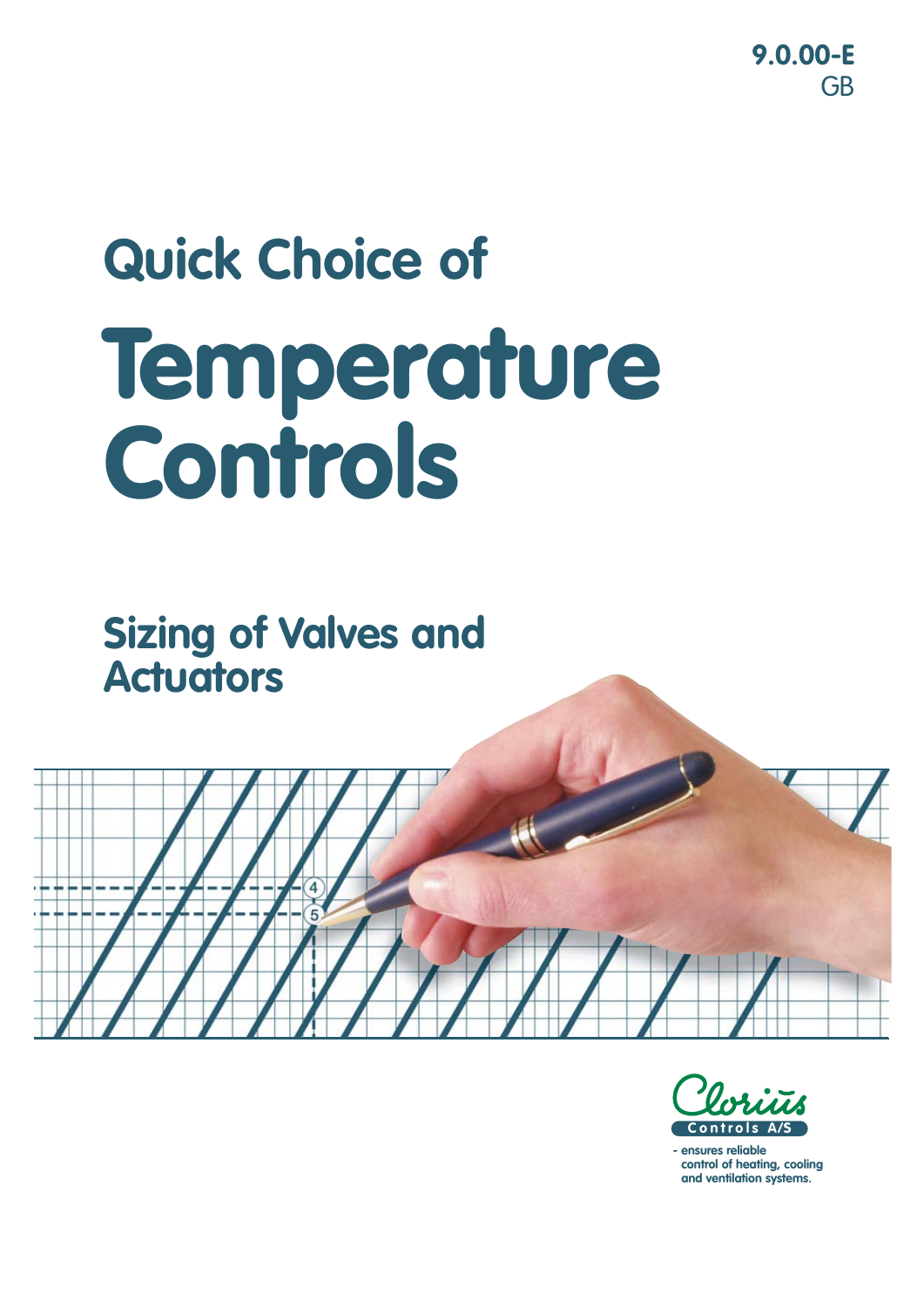**9.0.00-E** GB

# **Quick Choice of Temperature Controls**

**Sizing of Valves and Actuators**





**- ensures reliable control of heating, cooling and ventilation systems.**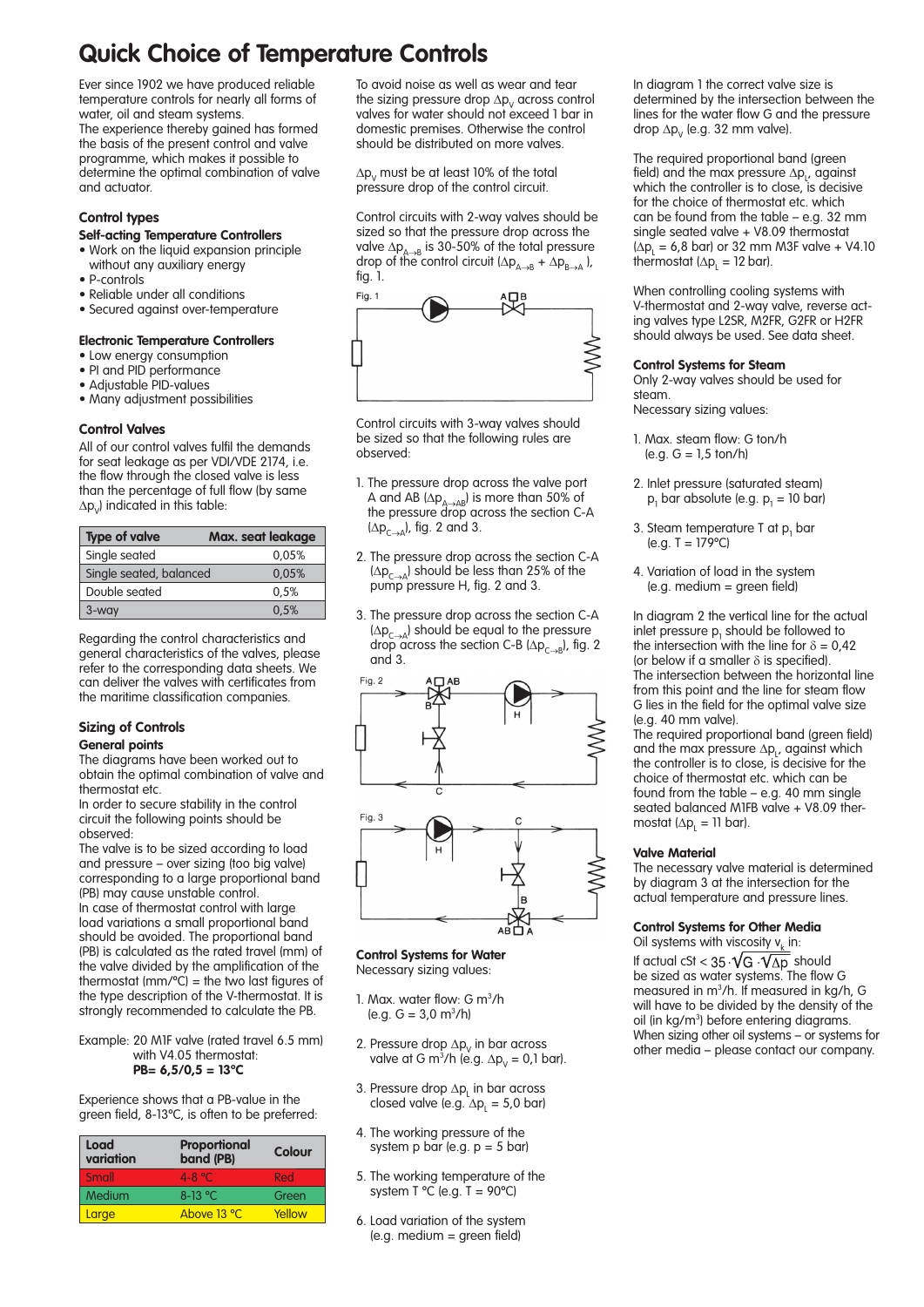## **Quick Choice of Temperature Controls**

Ever since 1902 we have produced reliable temperature controls for nearly all forms of water, oil and steam systems.

The experience thereby gained has formed the basis of the present control and valve programme, which makes it possible to determine the optimal combination of valve and actuator.

#### **Control types**

#### **Self-acting Temperature Controllers**

- Work on the liquid expansion principle without any auxiliary energy
- P-controls
- Reliable under all conditions
- Secured against over-temperature

#### **Electronic Temperature Controllers**

- Low energy consumption
- PI and PID performance
- Adjustable PID-values
- Many adjustment possibilities

#### **Control Valves**

All of our control valves fulfil the demands for seat leakage as per VDI/VDE 2174, i.e. the flow through the closed valve is less than the percentage of full flow (by same  $\Delta p_{v}$ ) indicated in this table:

| <b>Type of valve</b>    | Max. seat leakage |
|-------------------------|-------------------|
| Single seated           | 0.05%             |
| Single seated, balanced | 0.05%             |
| Double seated           | 0.5%              |
| 3-way                   | 0.5%              |

Regarding the control characteristics and general characteristics of the valves, please refer to the corresponding data sheets. We can deliver the valves with certificates from the maritime classification companies.

#### **Sizing of Controls**

#### **General points**

The diagrams have been worked out to obtain the optimal combination of valve and thermostat etc.

In order to secure stability in the control circuit the following points should be observed:

The valve is to be sized according to load and pressure – over sizing (too big valve) corresponding to a large proportional band (PB) may cause unstable control. In case of thermostat control with large

load variations a small proportional band should be avoided. The proportional band (PB) is calculated as the rated travel (mm) of the valve divided by the amplification of the thermostat (mm/ $\degree$ C) = the two last figures of the type description of the V-thermostat. It is strongly recommended to calculate the PB.

Example: 20 M1F valve (rated travel 6.5 mm) with V4.05 thermostat: **PB= 6,5/0,5 = 13ºC**

Experience shows that a PB-value in the green field, 8-13ºC, is often to be preferred:

| <b>Load</b><br>variation | Proportional<br>band (PB) | Colour |
|--------------------------|---------------------------|--------|
| Small                    | $4 - 8$ °C                | Red    |
| Medium                   | 8-13 °C                   | Green  |
| Large                    | Above 13 °C               | Yellow |

To avoid noise as well as wear and tear the sizing pressure drop  $\Delta p_{V}$  across control valves for water should not exceed 1 bar in domestic premises. Otherwise the control should be distributed on more valves.

 $\Delta p_v$  must be at least 10% of the total pressure drop of the control circuit.

Control circuits with 2-way valves should be sized so that the pressure drop across the valve  $\Delta p_{A\rightarrow B}$  is 30-50% of the total pressure drop of the control circuit  $(\Delta p_{A\rightarrow B} + \Delta p_{B\rightarrow A})$ , fig. 1.



Control circuits with 3-way valves should be sized so that the following rules are observed:

- 1. The pressure drop across the valve port A and AB  $(\Delta p_{A\rightarrow AB})$  is more than 50% of the pressure drop across the section C-A  $(\Delta p_{C\rightarrow A})$ , fig. 2 and 3.
- 2. The pressure drop across the section C-A  $(\Delta p_{C\rightarrow A})$  should be less than 25% of the pump pressure H, fig. 2 and 3.
- 3. The pressure drop across the section C-A  $(\Delta p_{\text{c}})$  should be equal to the pressure drop across the section C-B ( $\Delta p_{C\rightarrow B}$ ), fig. 2 and 3.



ART A

**Control Systems for Water** Necessary sizing values:

- 1. Max. water flow: G m<sup>3</sup>/h  $(e.g. G = 3.0 m<sup>3</sup>/h)$
- 2. Pressure drop  $\Delta p_{V}$  in bar across valve at G m<sup>3</sup>/h (e.g.  $\Delta p_v = 0.1$  bar).
- 3. Pressure drop  $\Delta p_{L}$  in bar across closed valve (e.g.  $\Delta p_l = 5.0$  bar)
- 4. The working pressure of the system  $p$  bar (e.g.  $p = 5$  bar)
- 5. The working temperature of the system T  $^{\circ}$ C (e.g. T = 90 $^{\circ}$ C)
- 6. Load variation of the system (e.g. medium = green field)

In diagram 1 the correct valve size is determined by the intersection between the lines for the water flow G and the pressure drop  $\Delta p_{v}$  (e.g. 32 mm valve).

The required proportional band (green field) and the max pressure  $\Delta p_{L}$ , against which the controller is to close, is decisive for the choice of thermostat etc. which can be found from the table – e.g. 32 mm single seated valve + V8.09 thermostat  $(\Delta p_{\perp} = 6.8 \text{ bar}) \text{ or } 32 \text{ mm}$  M3F valve + V4.10 thermostat ( $\Delta p_{L} = 12$  bar).

When controlling cooling systems with V-thermostat and 2-way valve, reverse acting valves type L2SR, M2FR, G2FR or H2FR should always be used. See data sheet.

#### **Control Systems for Steam**

Only 2-way valves should be used for steam. Necessary sizing values:

- 1. Max. steam flow: G ton/h  $(e.q. G = 1.5 ton/h)$
- 2. Inlet pressure (saturated steam)  $p_1$  bar absolute (e.g.  $p_1 = 10$  bar)
- 3. Steam temperature T at  $p_1$  bar  $(e.g. T = 179^{\circ}C)$
- 4. Variation of load in the system (e.g. medium = green field)

In diagram 2 the vertical line for the actual inlet pressure  $p_1$  should be followed to the intersection with the line for  $\delta = 0.42$ (or below if a smaller  $\delta$  is specified). The intersection between the horizontal line from this point and the line for steam flow G lies in the field for the optimal valve size (e.g. 40 mm valve).

The required proportional band (green field) and the max pressure  $\Delta p_L$ , against which the controller is to close, is decisive for the choice of thermostat etc. which can be found from the table – e.g. 40 mm single seated balanced M1FB valve + V8.09 thermostat ( $\Delta p_{L} = 11$  bar).

#### **Valve Material**

The necessary valve material is determined by diagram 3 at the intersection for the actual temperature and pressure lines.

#### **Control Systems for Other Media**

Oil systems with viscosity  $v_k$  in: If actual cSt <  $35\cdot\sqrt{G\cdot\sqrt{\Delta p}}$  should

be sized as water systems. The flow G measured in m3 /h. If measured in kg/h, G will have to be divided by the density of the oil (in kg/m<sup>3</sup>) before entering diagrams. When sizing other oil systems – or systems for other media – please contact our company.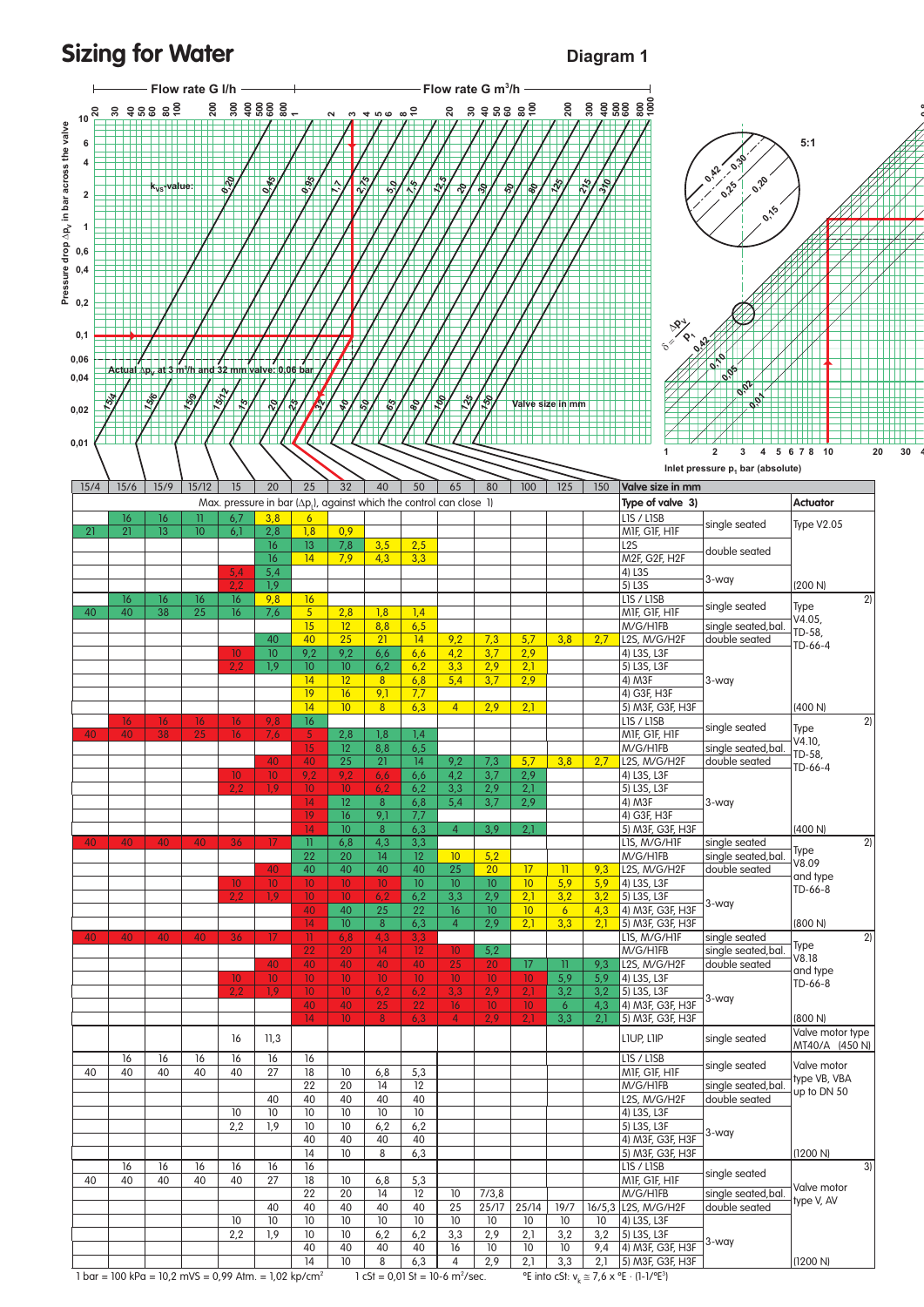### **Sizing for Water Diagram 1**

**0 8**



 $1 \text{ bar} = 100 \text{ kPa} = 10,2 \text{ mVS} = 0,99 \text{ Atm.} = 1,02 \text{ kp/cm}^2$ 

 $1 cSt = 0.01 St = 10-6 m<sup>2</sup>/sec.$ 

 $\text{``Ssec.}$  <sup>o</sup> Einto cSt:  $v_k \cong 7.6 \times {}^{o}E \cdot (1-1/{}^{o}E^3)$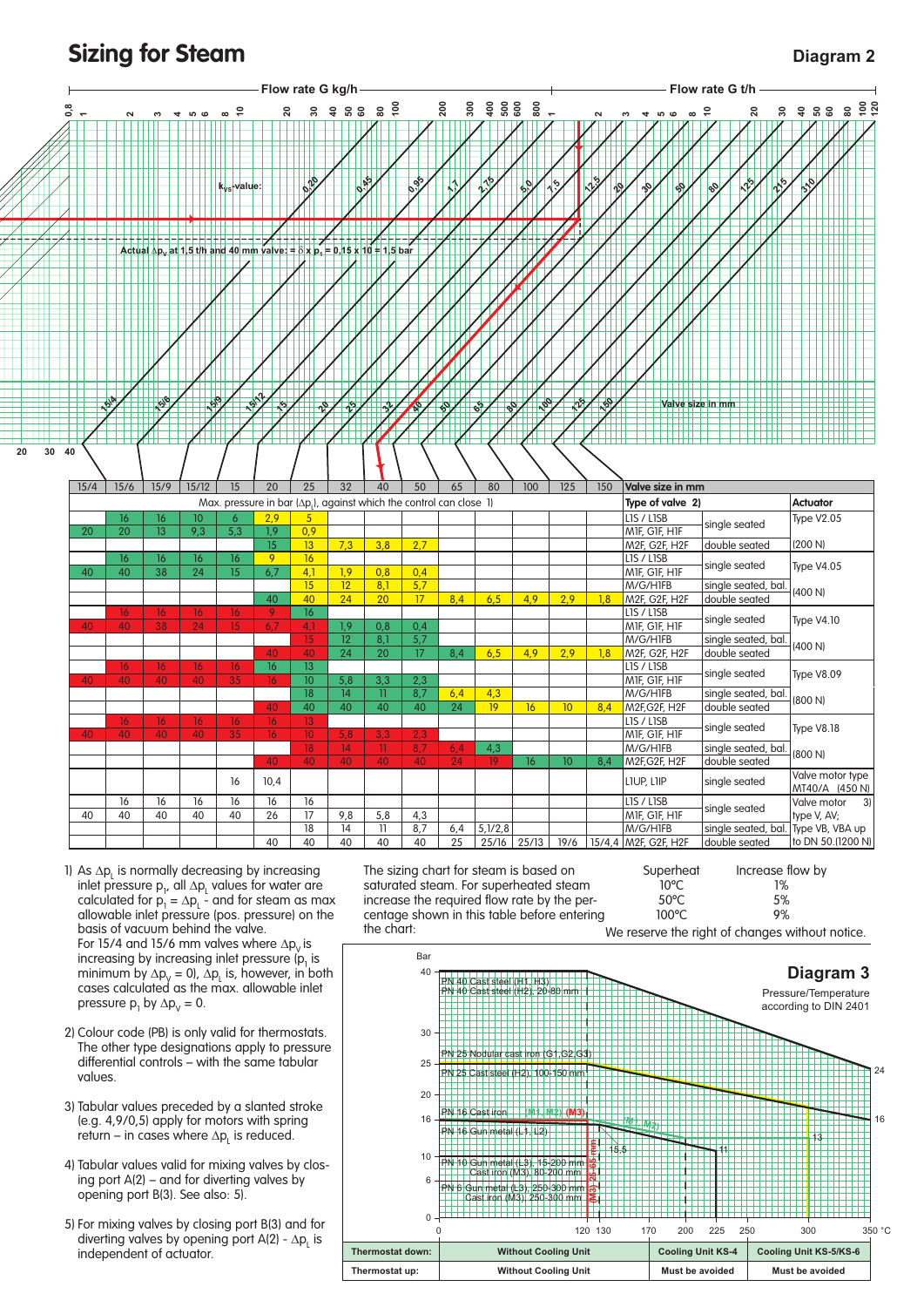**Sizing for Steam Diagram 2** 



- 1) As  $\Delta p_{L}$  is normally decreasing by increasing inlet pressure  $p_1$ , all  $\Delta p_1$  values for water are calculated for  $p_1 = \Delta p_1$  - and for steam as max allowable inlet pressure (pos. pressure) on the basis of vacuum behind the valve. For 15/4 and 15/6 mm valves where  $\Delta p_{V}$  is increasing by increasing inlet pressure  $(p_1)$  is minimum by  $\Delta p_y = 0$ ,  $\Delta p_L$  is, however, in both cases calculated as the max. allowable inlet pressure  $p_1$  by  $\Delta p_v = 0$ .
- 2) Colour code (PB) is only valid for thermostats. The other type designations apply to pressure differential controls – with the same tabular values.
- 3) Tabular values preceded by a slanted stroke (e.g. 4,9/0,5) apply for motors with spring  $r$ eturn – in cases where  $\Delta p_{L}$  is reduced.
- 4) Tabular values valid for mixing valves by closing port  $A(2)$  – and for diverting valves by opening port B(3). See also: 5).
- 5) For mixing valves by closing port B(3) and for diverting valves by opening port  $A(2) - \Delta p_L$  is independent of actuator.

 The sizing chart for steam is based on saturated steam. For superheated steam increase the required flow rate by the percentage shown in this table before entering the chart:



We reserve the right of changes without notice. 0 120 130 200 225 250 300 350 °C  $\Omega$ 6 10 16 20 25 30 40 Bar 16 24 170 **Diagram 3** Pressure/Temperature according to DIN 2401 **Thermostat down: Without Cooling Unit Cooling Unit KS-4 Cooling Unit KS-5/KS-6** Thermostat up: **Without Cooling Unit Must be avoided** Must be avoided 11 13 15,5 PN 16 Cast iron **(M1, M2) (M3) (M1, M2)** PN 16 Gun metal (L1, L2) **(M3) 25-65 mm** PN 40 Cast steel (H1, H3) PN 40 Cast steel (H2), 20-80 mm PN 25 Nodular cast iron (G1,G2,G3) PN 25 Cast steel (H2), 100-150 mm PN 10 Gun metal (L3), 15-200 mm Cast iron (M3), 80-200 mm PN 6 Gun metal (L3), 250-300 mm Cast iron (M3), 250-300 mm